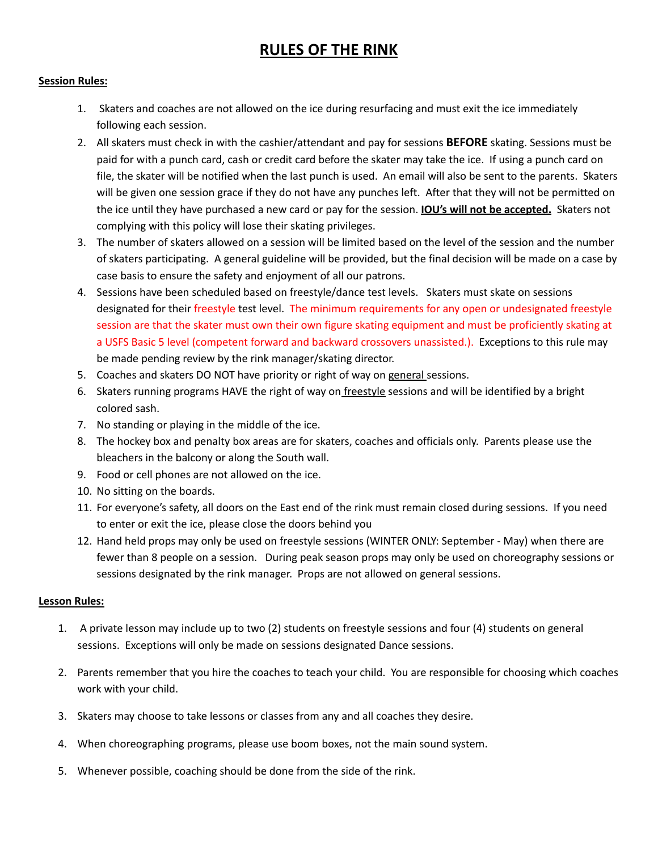## **RULES OF THE RINK**

### **Session Rules:**

- 1. Skaters and coaches are not allowed on the ice during resurfacing and must exit the ice immediately following each session.
- 2. All skaters must check in with the cashier/attendant and pay for sessions **BEFORE** skating. Sessions must be paid for with a punch card, cash or credit card before the skater may take the ice. If using a punch card on file, the skater will be notified when the last punch is used. An email will also be sent to the parents. Skaters will be given one session grace if they do not have any punches left. After that they will not be permitted on the ice until they have purchased a new card or pay for the session. **IOU's will not be accepted.** Skaters not complying with this policy will lose their skating privileges.
- 3. The number of skaters allowed on a session will be limited based on the level of the session and the number of skaters participating. A general guideline will be provided, but the final decision will be made on a case by case basis to ensure the safety and enjoyment of all our patrons.
- 4. Sessions have been scheduled based on freestyle/dance test levels. Skaters must skate on sessions designated for their freestyle test level. The minimum requirements for any open or undesignated freestyle session are that the skater must own their own figure skating equipment and must be proficiently skating at a USFS Basic 5 level (competent forward and backward crossovers unassisted.). Exceptions to this rule may be made pending review by the rink manager/skating director.
- 5. Coaches and skaters DO NOT have priority or right of way on general sessions.
- 6. Skaters running programs HAVE the right of way on freestyle sessions and will be identified by a bright colored sash.
- 7. No standing or playing in the middle of the ice.
- 8. The hockey box and penalty box areas are for skaters, coaches and officials only. Parents please use the bleachers in the balcony or along the South wall.
- 9. Food or cell phones are not allowed on the ice.
- 10. No sitting on the boards.
- 11. For everyone's safety, all doors on the East end of the rink must remain closed during sessions. If you need to enter or exit the ice, please close the doors behind you
- 12. Hand held props may only be used on freestyle sessions (WINTER ONLY: September May) when there are fewer than 8 people on a session. During peak season props may only be used on choreography sessions or sessions designated by the rink manager. Props are not allowed on general sessions.

### **Lesson Rules:**

- 1. A private lesson may include up to two (2) students on freestyle sessions and four (4) students on general sessions. Exceptions will only be made on sessions designated Dance sessions.
- 2. Parents remember that you hire the coaches to teach your child. You are responsible for choosing which coaches work with your child.
- 3. Skaters may choose to take lessons or classes from any and all coaches they desire.
- 4. When choreographing programs, please use boom boxes, not the main sound system.
- 5. Whenever possible, coaching should be done from the side of the rink.